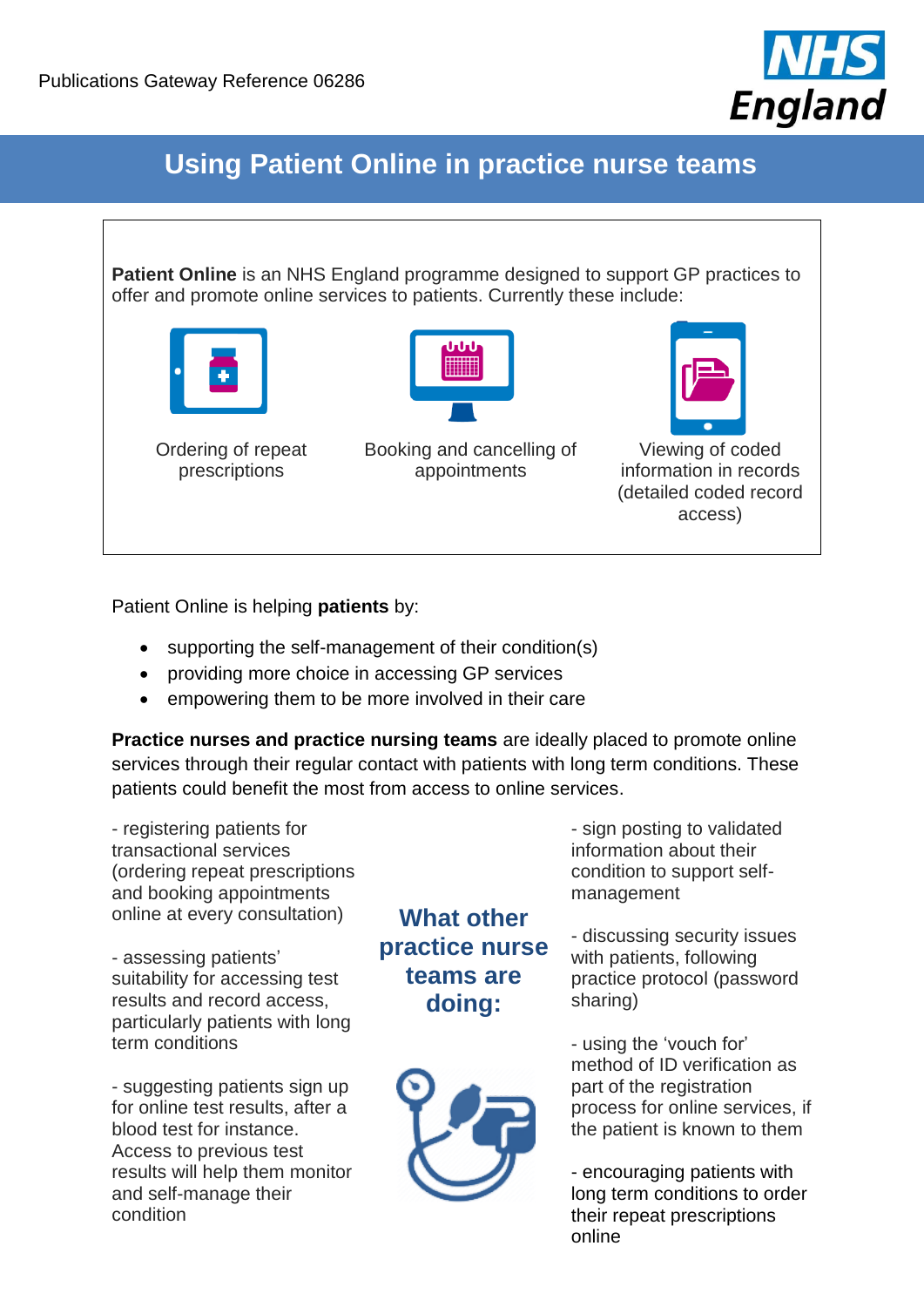

## **Using Patient Online in practice nurse teams**

**Patient Online** is an NHS England programme designed to support GP practices to offer and promote online services to patients. Currently these include:





Ordering of repeat prescriptions

Booking and cancelling of appointments



Viewing of coded information in records (detailed coded record access)

Patient Online is helping **patients** by:

- supporting the self-management of their condition(s)
- providing more choice in accessing GP services
- empowering them to be more involved in their care

**Practice nurses and practice nursing teams** are ideally placed to promote online services through their regular contact with patients with long term conditions. These patients could benefit the most from access to online services.

- registering patients for transactional services (ordering repeat prescriptions and booking appointments online at every consultation)

- assessing patients' suitability for accessing test results and record access, particularly patients with long term conditions

- suggesting patients sign up for online test results, after a blood test for instance. Access to previous test results will help them monitor and self-manage their condition

## **What other practice nurse teams are doing:**



- sign posting to validated information about their condition to support selfmanagement

- discussing security issues with patients, following practice protocol (password sharing)

- using the 'vouch for' method of ID verification as part of the registration process for online services, if the patient is known to them

- encouraging patients with long term conditions to order their repeat prescriptions online